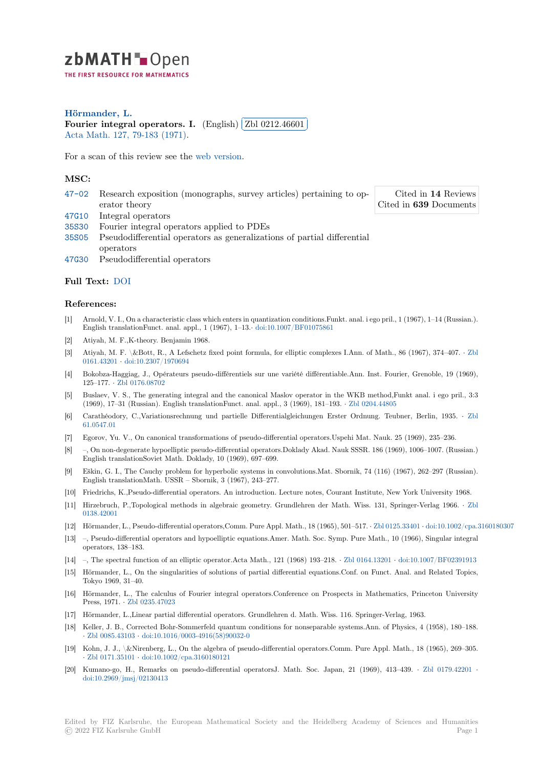zbMATH-Open THE FIRST RESOURCE FOR MATHEMATICS

**Hörmander, L. [F](https://zbmath.org/)ourier integral operators. I.** (English) ✄ ✂ Zbl 0212.46601 l. ✁ Acta Math. 127, 79-183 (1971).

[For a scan of this](https://zbmath.org/authors/?q=ai:hormander.lars) review see the web version.

## **[MSC:](https://zbmath.org/journals/?q=se:282)**

|       | 47-02 Research exposition (monographs, survey articles) pertaining to op-     | Cited in 14 Reviews    |
|-------|-------------------------------------------------------------------------------|------------------------|
|       | erator theory                                                                 | Cited in 639 Documents |
|       | 47G10 Integral operators                                                      |                        |
| 35S30 | Fourier integral operators applied to PDEs                                    |                        |
|       | 35805 Pseudodifferential operators as generalizations of partial differential |                        |
|       | operators                                                                     |                        |
|       | 47G30 Pseudodifferential operators                                            |                        |

## **[Full T](https://zbmath.org/classification/?q=cc:35S05)ext:** DOI

## **[Refer](https://zbmath.org/classification/?q=cc:47G30)ences:**

- [1] Arnold, V. I., On a characteristic class which enters in quantization conditions.Funkt. anal. i ego pril., 1 (1967), 1–14 (Russian.). Englisht[ransla](https://dx.doi.org/10.1007/BF02392052)tionFunct. anal. appl., 1 (1967), 1–13.*·* doi:10.1007/BF01075861
- [2] Atiyah, M. F.,K-theory. Benjamin 1968.
- [3] Atiyah, M. F. \&Bott, R., A Lefschetz fixed point formula, for elliptic complexes I.Ann. of Math., 86 (1967), 374–407. *·* Zbl 0161.43201 *·* doi:10.2307/1970694
- [4] Bokobza-Haggiag, J., Opérateurs pseudo-différentiels [sur une variété différenti](https://dx.doi.org/10.1007/BF01075861)able.Ann. Inst. Fourier, Grenoble, 19 (1969), 125–177. *·* Zbl 0176.08702
- [5] Buslaev, V. S., The generating integral and the canonical Maslov operator in the WKB method,Funkt anal. i ego pril., [3:3](https://zbmath.org/0161.43201) [\(1969\), 17–](https://zbmath.org/0161.43201)3[1 \(Russian\). English](https://dx.doi.org/10.2307/1970694) translationFunct. anal. appl., 3 (1969), 181–193. *·* Zbl 0204.44805
- [6] Carathéodory, C.,Variationsrechnung und partielle Differentialgleichungen Erster Ordnung. Teubner, Berlin, 1935. *·* Zbl 61.0547.01
- [7] Egorov, Yu. V., On canonical transformations of pseudo-differential operators.Uspehi Mat. Nauk. 25 (1969), 235–236.
- [8] –, On non-degenerate hypoelliptic pseudo-differential operators.Doklady Akad. Nauk [SSSR. 186 \(196](https://zbmath.org/0204.44805)9), 1006–1007. (Russian.) English translationSoviet Math. Doklady, 10 (1969), 697–699.
- [9] [Eškin, G. I](https://zbmath.org/61.0547.01)., The Cauchy problem for hyperbolic systems in convolutions.Mat. Sbornik, 74 (116) (1967), 262–297 (Russian). English translationMath. USSR – Sbornik, 3 (1967), 243–277.
- [10] Friedrichs, K.,Pseudo-differential operators. An introduction. Lecture notes, Courant Institute, New York University 1968.
- [11] Hirzebruch, P.,Topological methods in algebraic geometry. Grundlehren der Math. Wiss. 131, Springer-Verlag 1966. *·* Zbl 0138.42001
- [12] Hörmander, L., Pseudo-differential operators,Comm. Pure Appl. Math., 18 (1965), 501–517. *·* Zbl 0125.33401 *·* doi:10.1002/cpa.3160180307
- [13] –, Pseudo-differential operators and hypoelliptic equations.Amer. Math. Soc. Symp. Pure Math., 10 (1966), Singular integral operators, 138–183.
- [14] [–, The spec](https://zbmath.org/0138.42001)tral function of an elliptic operator.Acta Math., 121 (1968) 193–218. *·* Zbl 0164.13201 *·* doi:10.1007/BF02391913
- [15] Hörmander, L., On the singularities of solutions of partial differential equations.Conf. on [Funct. Anal. an](https://zbmath.org/0125.33401)[d Related Topics,](https://dx.doi.org/10.1002/cpa.3160180307) Tokyo 1969, 31–40.
- [16] Hörmander, L., The calculus of Fourier integral operators.Conference on Prospects in Mathematics, Princeton University Press, 1971. *·* Zbl 0235.47023
- [17] Hörmander, L.,Linear partial differential operators. Grundlehren d. Math. Wiss. 116. Springer-Verlag, 1963.
- [18] Keller, J. B., Corrected Bohr-Sommerfeld quantum conditions for nonseparable systems.Ann. of Physics, 4 (1958), 180–188. *·* Zbl 0085.43103 *·* doi:10.1016/0003-4916(58)90032-0
- [19] Kohn, J. J.,\[&Nirenberg, L.,](https://zbmath.org/0235.47023) On the algebra of pseudo-differential operators.Comm. Pure Appl. Math., 18 (1965), 269–305. *·* Zbl 0171.35101 *·* doi:10.1002/cpa.3160180121
- [20] Kumano-go, H., Remarks on pseudo-differential operatorsJ. Math. Soc. Japan, 21 (1969), 413–439. *·* Zbl 0179.42201 *·* d[oi:10.2969/jmsj](https://zbmath.org/0085.43103)/[02130413](https://dx.doi.org/10.1016/0003-4916(58)90032-0)